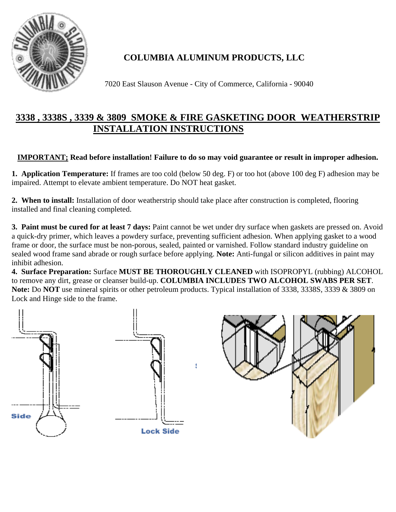

## **COLUMBIA ALUMINUM PRODUCTS, LLC**

7020 East Slauson Avenue - City of Commerce, California - 90040

## **3338 , 3338S , 3339 & 3809 SMOKE & FIRE GASKETING DOOR WEATHERSTRIP INSTALLATION INSTRUCTIONS**

## **IMPORTANT; Read before installation! Failure to do so may void guarantee or result in improper adhesion.**

**1. Application Temperature:** If frames are too cold (below 50 deg. F) or too hot (above 100 deg F) adhesion may be impaired. Attempt to elevate ambient temperature. Do NOT heat gasket.

**2. When to install:** Installation of door weatherstrip should take place after construction is completed, flooring installed and final cleaning completed.

**3. Paint must be cured for at least 7 days:** Paint cannot be wet under dry surface when gaskets are pressed on. Avoid a quick-dry primer, which leaves a powdery surface, preventing sufficient adhesion. When applying gasket to a wood frame or door, the surface must be non-porous, sealed, painted or varnished. Follow standard industry guideline on sealed wood frame sand abrade or rough surface before applying. **Note:** Anti-fungal or silicon additives in paint may inhibit adhesion.

**4. Surface Preparation:** Surface **MUST BE THOROUGHLY CLEANED** with ISOPROPYL (rubbing) ALCOHOL to remove any dirt, grease or cleanser build-up. **COLUMBIA INCLUDES TWO ALCOHOL SWABS PER SET**. **Note:** Do **NOT** use mineral spirits or other petroleum products. Typical installation of 3338, 3338S, 3339 & 3809 on Lock and Hinge side to the frame.